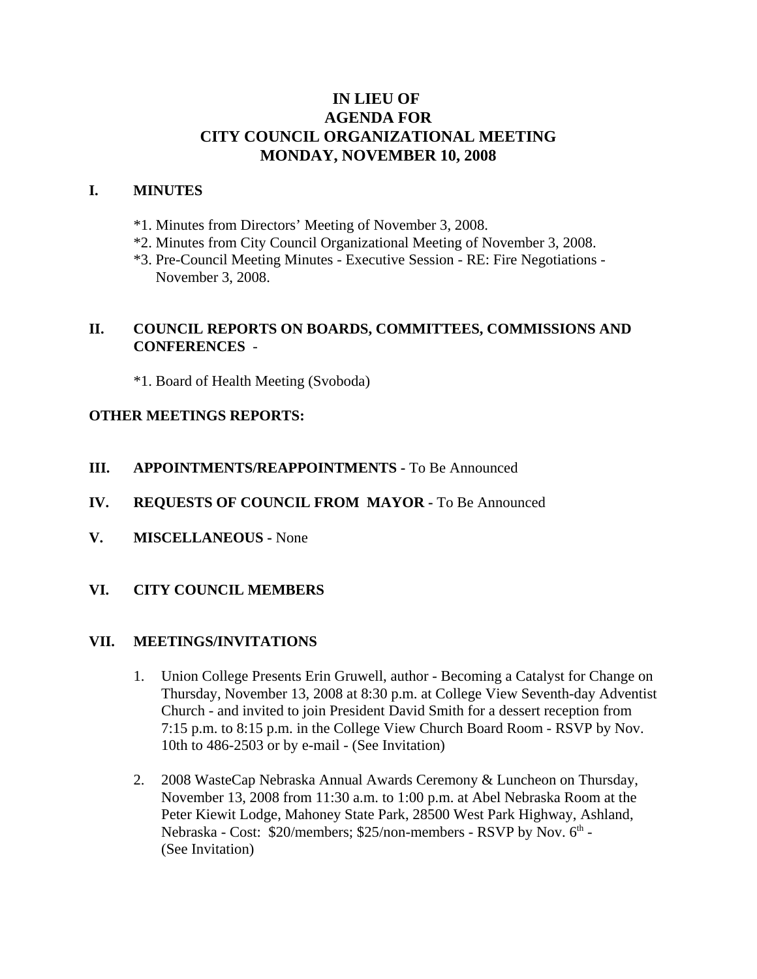# **IN LIEU OF AGENDA FOR CITY COUNCIL ORGANIZATIONAL MEETING MONDAY, NOVEMBER 10, 2008**

### **I. MINUTES**

- \*1. Minutes from Directors' Meeting of November 3, 2008.
- \*2. Minutes from City Council Organizational Meeting of November 3, 2008.
- \*3. Pre-Council Meeting Minutes Executive Session RE: Fire Negotiations November 3, 2008.

## **II. COUNCIL REPORTS ON BOARDS, COMMITTEES, COMMISSIONS AND CONFERENCES** -

\*1. Board of Health Meeting (Svoboda)

### **OTHER MEETINGS REPORTS:**

**III.** APPOINTMENTS/REAPPOINTMENTS - To Be Announced

## **IV. REQUESTS OF COUNCIL FROM MAYOR -** To Be Announced

- **V. MISCELLANEOUS -** None
- **VI. CITY COUNCIL MEMBERS**

#### **VII. MEETINGS/INVITATIONS**

- 1. Union College Presents Erin Gruwell, author Becoming a Catalyst for Change on Thursday, November 13, 2008 at 8:30 p.m. at College View Seventh-day Adventist Church - and invited to join President David Smith for a dessert reception from 7:15 p.m. to 8:15 p.m. in the College View Church Board Room - RSVP by Nov. 10th to 486-2503 or by e-mail - (See Invitation)
- 2. 2008 WasteCap Nebraska Annual Awards Ceremony & Luncheon on Thursday, November 13, 2008 from 11:30 a.m. to 1:00 p.m. at Abel Nebraska Room at the Peter Kiewit Lodge, Mahoney State Park, 28500 West Park Highway, Ashland, Nebraska - Cost: \$20/members; \$25/non-members - RSVP by Nov. 6<sup>th</sup> -(See Invitation)